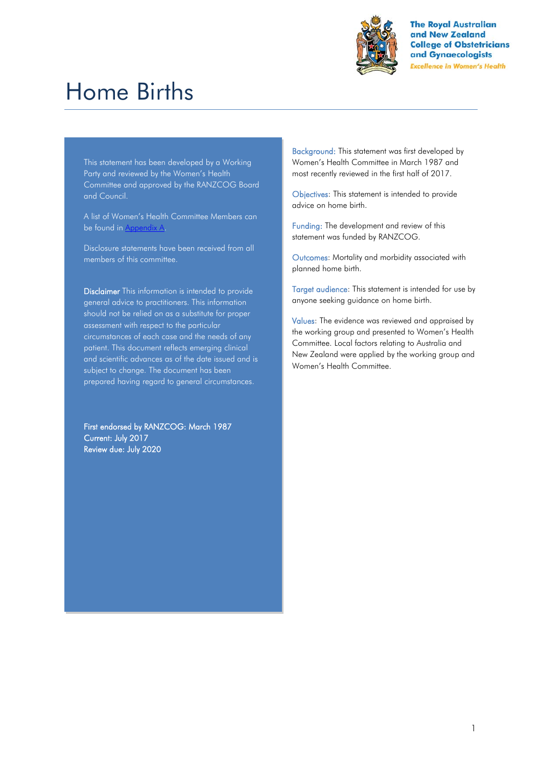

**The Royal Australian** and New Zealand **College of Obstetricians** and Gynaecologists **Excellence in Women's Health** 

# Home Births

This statement has been developed by a Working Party and reviewed by the Women's Health Committee and approved by the RANZCOG Board and Council.

A list of Women's Health Committee Members can be found in Appendix A.

Disclosure statements have been received from all members of this committee.

Disclaimer This information is intended to provide general advice to practitioners. This information should not be relied on as a substitute for proper assessment with respect to the particular circumstances of each case and the needs of any patient. This document reflects emerging clinical and scientific advances as of the date issued and is subject to change. The document has been prepared having regard to general circumstances.

First endorsed by RANZCOG: March 1987 Current: July 2017 Review due: July 2020

Background: This statement was first developed by Women's Health Committee in March 1987 and most recently reviewed in the first half of 2017.

Objectives: This statement is intended to provide advice on home birth.

Funding: The development and review of this statement was funded by RANZCOG.

Outcomes: Mortality and morbidity associated with planned home birth.

Target audience: This statement is intended for use by anyone seeking guidance on home birth.

Values: The evidence was reviewed and appraised by the working group and presented to Women's Health Committee. Local factors relating to Australia and New Zealand were applied by the working group and Women's Health Committee.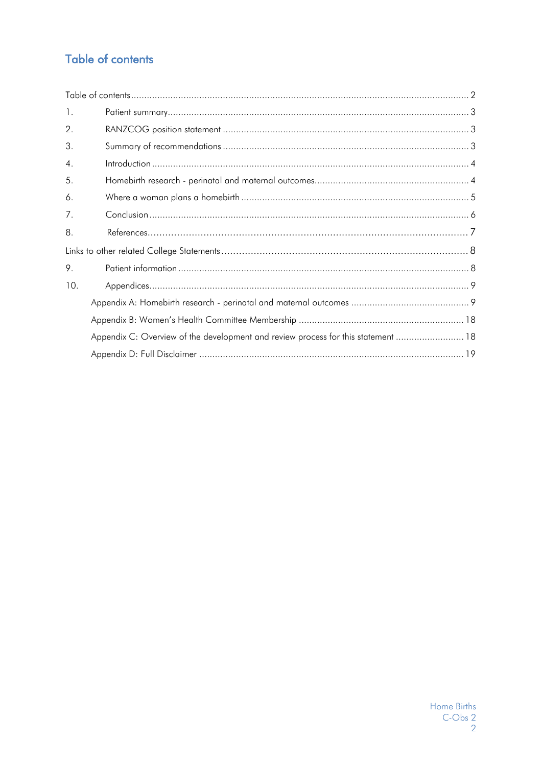# <span id="page-1-0"></span>Table of contents

| 1.               |                                                                                   |  |
|------------------|-----------------------------------------------------------------------------------|--|
| $\mathbf{2}$ .   |                                                                                   |  |
| 3.               |                                                                                   |  |
| $\overline{4}$ . |                                                                                   |  |
| 5.               |                                                                                   |  |
| 6.               |                                                                                   |  |
| 7.               |                                                                                   |  |
| 8.               |                                                                                   |  |
|                  |                                                                                   |  |
| 9.               |                                                                                   |  |
| 10.              |                                                                                   |  |
|                  |                                                                                   |  |
|                  |                                                                                   |  |
|                  | Appendix C: Overview of the development and review process for this statement  18 |  |
|                  |                                                                                   |  |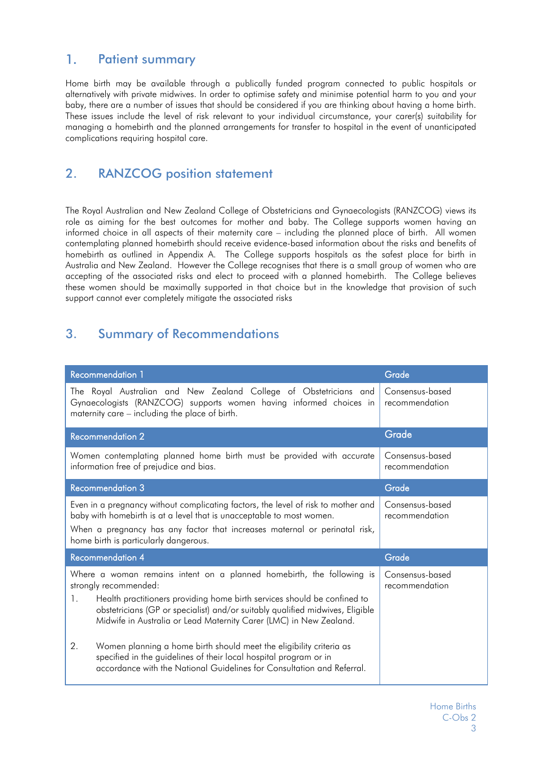## <span id="page-2-0"></span>1. Patient summary

Home birth may be available through a publically funded program connected to public hospitals or alternatively with private midwives. In order to optimise safety and minimise potential harm to you and your baby, there are a number of issues that should be considered if you are thinking about having a home birth. These issues include the level of risk relevant to your individual circumstance, your carer(s) suitability for managing a homebirth and the planned arrangements for transfer to hospital in the event of unanticipated complications requiring hospital care.

## <span id="page-2-1"></span>2. RANZCOG position statement

The Royal Australian and New Zealand College of Obstetricians and Gynaecologists (RANZCOG) views its role as aiming for the best outcomes for mother and baby. The College supports women having an informed choice in all aspects of their maternity care – including the planned place of birth. All women contemplating planned homebirth should receive evidence-based information about the risks and benefits of homebirth as outlined in Appendix A. The College supports hospitals as the safest place for birth in Australia and New Zealand. However the College recognises that there is a small group of women who are accepting of the associated risks and elect to proceed with a planned homebirth. The College believes these women should be maximally supported in that choice but in the knowledge that provision of such support cannot ever completely mitigate the associated risks

# <span id="page-2-2"></span>3. Summary of Recommendations

| <b>Recommendation 1</b>                                                                                                                                                                                                                                                                                                                                                                                                                                                                                                                                             | Grade                             |
|---------------------------------------------------------------------------------------------------------------------------------------------------------------------------------------------------------------------------------------------------------------------------------------------------------------------------------------------------------------------------------------------------------------------------------------------------------------------------------------------------------------------------------------------------------------------|-----------------------------------|
| The Royal Australian and New Zealand College of Obstetricians and<br>Gynaecologists (RANZCOG) supports women having informed choices in<br>maternity care – including the place of birth.                                                                                                                                                                                                                                                                                                                                                                           | Consensus-based<br>recommendation |
| <b>Recommendation 2</b>                                                                                                                                                                                                                                                                                                                                                                                                                                                                                                                                             | Grade                             |
| Women contemplating planned home birth must be provided with accurate<br>information free of prejudice and bias.                                                                                                                                                                                                                                                                                                                                                                                                                                                    | Consensus-based<br>recommendation |
| <b>Recommendation 3</b>                                                                                                                                                                                                                                                                                                                                                                                                                                                                                                                                             | Grade                             |
| Even in a pregnancy without complicating factors, the level of risk to mother and<br>baby with homebirth is at a level that is unacceptable to most women.<br>When a pregnancy has any factor that increases maternal or perinatal risk,<br>home birth is particularly dangerous.                                                                                                                                                                                                                                                                                   | Consensus-based<br>recommendation |
| <b>Recommendation 4</b>                                                                                                                                                                                                                                                                                                                                                                                                                                                                                                                                             | Grade                             |
| Where a woman remains intent on a planned homebirth, the following is<br>strongly recommended:<br>Health practitioners providing home birth services should be confined to<br>1.<br>obstetricians (GP or specialist) and/or suitably qualified midwives, Eligible<br>Midwife in Australia or Lead Maternity Carer (LMC) in New Zealand.<br>2.<br>Women planning a home birth should meet the eligibility criteria as<br>specified in the guidelines of their local hospital program or in<br>accordance with the National Guidelines for Consultation and Referral. | Consensus-based<br>recommendation |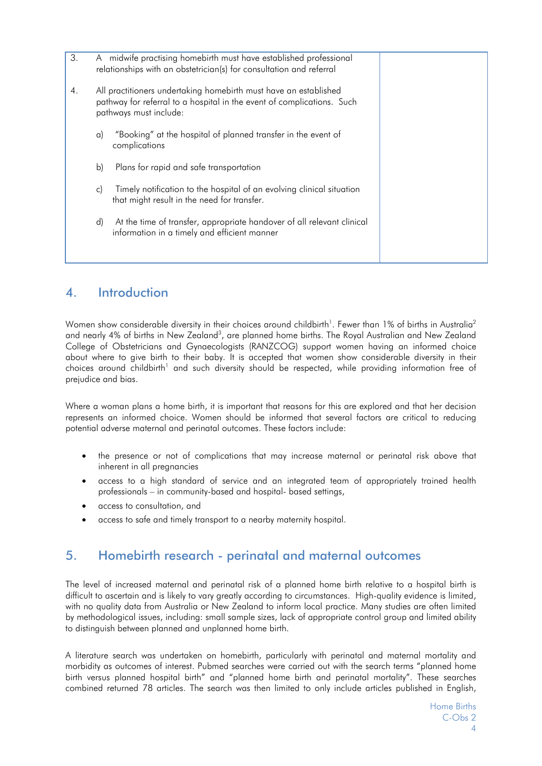| 3. |              | A midwife practising homebirth must have established professional<br>relationships with an obstetrician(s) for consultation and referral                             |  |
|----|--------------|----------------------------------------------------------------------------------------------------------------------------------------------------------------------|--|
| 4. |              | All practitioners undertaking homebirth must have an established<br>pathway for referral to a hospital in the event of complications. Such<br>pathways must include: |  |
|    | $\alpha$     | "Booking" at the hospital of planned transfer in the event of<br>complications                                                                                       |  |
|    | $\mathbf{b}$ | Plans for rapid and safe transportation                                                                                                                              |  |
|    | $\mathsf{C}$ | Timely notification to the hospital of an evolving clinical situation<br>that might result in the need for transfer.                                                 |  |
|    | $\mathsf{d}$ | At the time of transfer, appropriate handover of all relevant clinical<br>information in a timely and efficient manner                                               |  |
|    |              |                                                                                                                                                                      |  |

### <span id="page-3-0"></span>4. Introduction

Women show considerable diversity in their choices around childbirth<sup>1</sup>. Fewer than 1% of births in Australia<sup>2</sup> and nearly 4% of births in New Zealand<sup>3</sup>, are planned home births. The Royal Australian and New Zealand College of Obstetricians and Gynaecologists (RANZCOG) support women having an informed choice about where to give birth to their baby. It is accepted that women show considerable diversity in their choices around childbirth<sup>1</sup> and such diversity should be respected, while providing information free of prejudice and bias.

Where a woman plans a home birth, it is important that reasons for this are explored and that her decision represents an informed choice. Women should be informed that several factors are critical to reducing potential adverse maternal and perinatal outcomes. These factors include:

- the presence or not of complications that may increase maternal or perinatal risk above that inherent in all pregnancies
- access to a high standard of service and an integrated team of appropriately trained health professionals – in community-based and hospital- based settings,
- access to consultation, and
- access to safe and timely transport to a nearby maternity hospital.

# <span id="page-3-1"></span>5. Homebirth research - perinatal and maternal outcomes

The level of increased maternal and perinatal risk of a planned home birth relative to a hospital birth is difficult to ascertain and is likely to vary greatly according to circumstances. High-quality evidence is limited, with no quality data from Australia or New Zealand to inform local practice. Many studies are often limited by methodological issues, including: small sample sizes, lack of appropriate control group and limited ability to distinguish between planned and unplanned home birth.

A literature search was undertaken on homebirth, particularly with perinatal and maternal mortality and morbidity as outcomes of interest. Pubmed searches were carried out with the search terms "planned home birth versus planned hospital birth" and "planned home birth and perinatal mortality". These searches combined returned 78 articles. The search was then limited to only include articles published in English,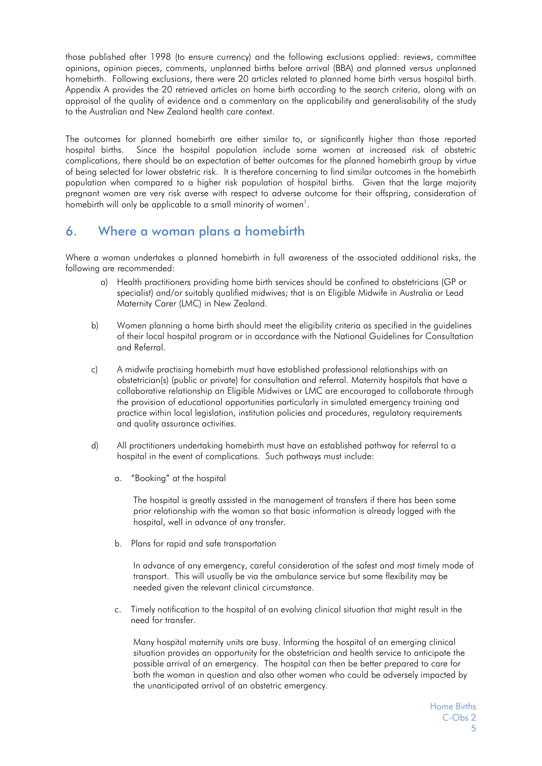those published after 1998 (to ensure currency) and the following exclusions applied: reviews, committee opinions, opinion pieces, comments, unplanned births before arrival (BBA) and planned versus unplanned homebirth. Following exclusions, there were 20 articles related to planned home birth versus hospital birth. Appendix A provides the 20 retrieved articles on home birth according to the search criteria, along with an appraisal of the quality of evidence and a commentary on the applicability and generalisability of the study to the Australian and New Zealand health care context.

The outcomes for planned homebirth are either similar to, or significantly higher than those reported hospital births. Since the hospital population include some women at increased risk of obstetric complications, there should be an expectation of better outcomes for the planned homebirth group by virtue of being selected for lower obstetric risk. It is therefore concerning to find similar outcomes in the homebirth population when compared to a higher risk population of hospital births. Given that the large majority pregnant women are very risk averse with respect to adverse outcome for their offspring, consideration of homebirth will only be applicable to a small minority of women<sup>1</sup>.

# <span id="page-4-0"></span>6. Where a woman plans a homebirth

Where a woman undertakes a planned homebirth in full awareness of the associated additional risks, the following are recommended:

- a) Health practitioners providing home birth services should be confined to obstetricians (GP or specialist) and/or suitably qualified midwives; that is an Eligible Midwife in Australia or Lead Maternity Carer (LMC) in New Zealand.
- b) Women planning a home birth should meet the eligibility criteria as specified in the guidelines of their local hospital program or in accordance with the National Guidelines for Consultation and Referral.
- c) A midwife practising homebirth must have established professional relationships with an obstetrician(s) (public or private) for consultation and referral. Maternity hospitals that have a collaborative relationship an Eligible Midwives or LMC are encouraged to collaborate through the provision of educational opportunities particularly in simulated emergency training and practice within local legislation, institution policies and procedures, regulatory requirements and quality assurance activities.
- d) All practitioners undertaking homebirth must have an established pathway for referral to a hospital in the event of complications. Such pathways must include:
	- a. "Booking" at the hospital

The hospital is greatly assisted in the management of transfers if there has been some prior relationship with the woman so that basic information is already logged with the hospital, well in advance of any transfer.

b. Plans for rapid and safe transportation

In advance of any emergency, careful consideration of the safest and most timely mode of transport. This will usually be via the ambulance service but some flexibility may be needed given the relevant clinical circumstance.

c. Timely notification to the hospital of an evolving clinical situation that might result in the need for transfer.

Many hospital maternity units are busy. Informing the hospital of an emerging clinical situation provides an opportunity for the obstetrician and health service to anticipate the possible arrival of an emergency. The hospital can then be better prepared to care for both the woman in question and also other women who could be adversely impacted by the unanticipated arrival of an obstetric emergency.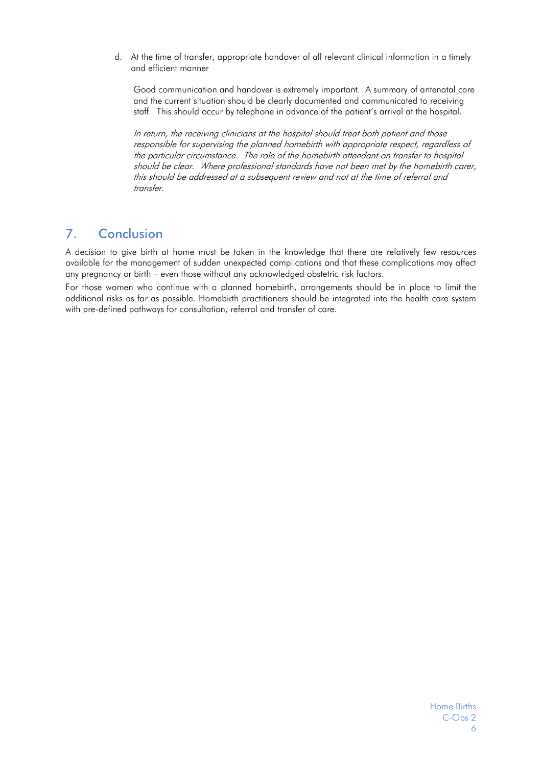d. At the time of transfer, appropriate handover of all relevant clinical information in a timely and efficient manner

Good communication and handover is extremely important. A summary of antenatal care and the current situation should be clearly documented and communicated to receiving staff. This should occur by telephone in advance of the patient's arrival at the hospital.

In return, the receiving clinicians at the hospital should treat both patient and those responsible for supervising the planned homebirth with appropriate respect, regardless of the particular circumstance. The role of the homebirth attendant on transfer to hospital should be clear. Where professional standards have not been met by the homebirth carer, this should be addressed at a subsequent review and not at the time of referral and transfer.

# <span id="page-5-0"></span>7. Conclusion

A decision to give birth at home must be taken in the knowledge that there are relatively few resources available for the management of sudden unexpected complications and that these complications may affect any pregnancy or birth – even those without any acknowledged obstetric risk factors.

For those women who continue with a planned homebirth, arrangements should be in place to limit the additional risks as far as possible. Homebirth practitioners should be integrated into the health care system with pre-defined pathways for consultation, referral and transfer of care.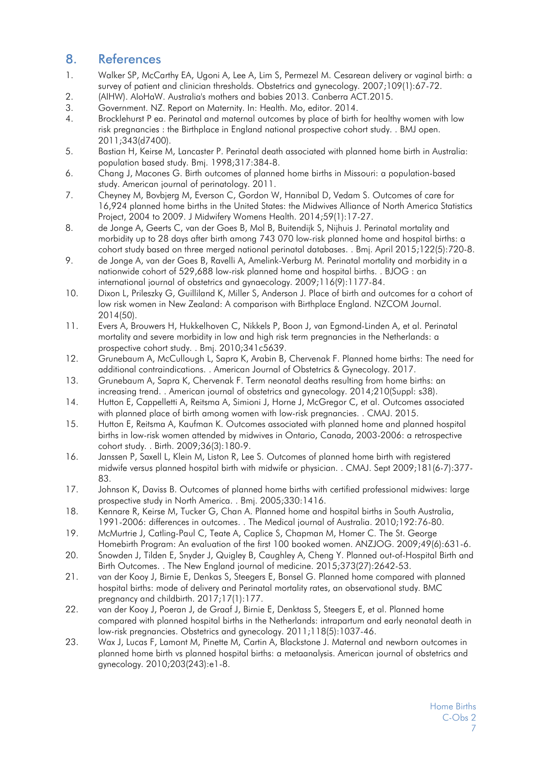### <span id="page-6-0"></span>8. References

- <span id="page-6-3"></span>1. Walker SP, McCarthy EA, Ugoni A, Lee A, Lim S, Permezel M. Cesarean delivery or vaginal birth: a survey of patient and clinician thresholds. Obstetrics and gynecology. 2007;109(1):67-72.
- <span id="page-6-1"></span>2. (AIHW). AIoHaW. Australia's mothers and babies 2013. Canberra ACT.2015.
- <span id="page-6-2"></span>3. Government. NZ. Report on Maternity. In: Health. Mo, editor. 2014.
- 4. Brocklehurst P ea. Perinatal and maternal outcomes by place of birth for healthy women with low risk pregnancies : the Birthplace in England national prospective cohort study. . BMJ open. 2011;343(d7400).
- <span id="page-6-4"></span>5. Bastian H, Keirse M, Lancaster P. Perinatal death associated with planned home birth in Australia: population based study. Bmj. 1998;317:384-8.
- <span id="page-6-5"></span>6. Chang J, Macones G. Birth outcomes of planned home births in Missouri: a population-based study. American journal of perinatology. 2011.
- <span id="page-6-6"></span>7. Cheyney M, Bovbjerg M, Everson C, Gordon W, Hannibal D, Vedam S. Outcomes of care for 16,924 planned home births in the United States: the Midwives Alliance of North America Statistics Project, 2004 to 2009. J Midwifery Womens Health. 2014;59(1):17-27.
- <span id="page-6-7"></span>8. de Jonge A, Geerts C, van der Goes B, Mol B, Buitendijk S, Nijhuis J. Perinatal mortality and morbidity up to 28 days after birth among 743 070 low-risk planned home and hospital births: a cohort study based on three merged national perinatal databases. . Bmj. April 2015;122(5):720-8.
- <span id="page-6-8"></span>9. de Jonge A, van der Goes B, Ravelli A, Amelink-Verburg M. Perinatal mortality and morbidity in a nationwide cohort of 529,688 low-risk planned home and hospital births. . BJOG : an international journal of obstetrics and gynaecology. 2009;116(9):1177-84.
- <span id="page-6-9"></span>10. Dixon L, Prileszky G, Guilliland K, Miller S, Anderson J. Place of birth and outcomes for a cohort of low risk women in New Zealand: A comparison with Birthplace England. NZCOM Journal. 2014(50).
- <span id="page-6-10"></span>11. Evers A, Brouwers H, Hukkelhoven C, Nikkels P, Boon J, van Egmond-Linden A, et al. Perinatal mortality and severe morbidity in low and high risk term pregnancies in the Netherlands: a prospective cohort study. . Bmj. 2010;341c5639.
- <span id="page-6-11"></span>12. Grunebaum A, McCullough L, Sapra K, Arabin B, Chervenak F. Planned home births: The need for additional contraindications. . American Journal of Obstetrics & Gynecology. 2017.
- <span id="page-6-12"></span>13. Grunebaum A, Sapra K, Chervenak F. Term neonatal deaths resulting from home births: an increasing trend. . American journal of obstetrics and gynecology. 2014;210(Suppl: s38).
- <span id="page-6-13"></span>14. Hutton E, Cappelletti A, Reitsma A, Simioni J, Horne J, McGregor C, et al. Outcomes associated with planned place of birth among women with low-risk pregnancies. . CMAJ. 2015.
- <span id="page-6-14"></span>15. Hutton E, Reitsma A, Kaufman K. Outcomes associated with planned home and planned hospital births in low-risk women attended by midwives in Ontario, Canada, 2003-2006: a retrospective cohort study. . Birth. 2009;36(3):180-9.
- <span id="page-6-15"></span>16. Janssen P, Saxell L, Klein M, Liston R, Lee S. Outcomes of planned home birth with registered midwife versus planned hospital birth with midwife or physician. . CMAJ. Sept 2009;181(6-7):377- 83.
- <span id="page-6-16"></span>17. Johnson K, Daviss B. Outcomes of planned home births with certified professional midwives: large prospective study in North America. . Bmj. 2005;330:1416.
- 18. Kennare R, Keirse M, Tucker G, Chan A. Planned home and hospital births in South Australia, 1991-2006: differences in outcomes. . The Medical journal of Australia. 2010;192:76-80.
- 19. McMurtrie J, Catling-Paul C, Teate A, Caplice S, Chapman M, Homer C. The St. George Homebirth Program: An evaluation of the first 100 booked women. ANZJOG. 2009;49(6):631-6.
- <span id="page-6-17"></span>20. Snowden J, Tilden E, Snyder J, Quigley B, Caughley A, Cheng Y. Planned out-of-Hospital Birth and Birth Outcomes. . The New England journal of medicine. 2015;373(27):2642-53.
- <span id="page-6-18"></span>21. van der Kooy J, Birnie E, Denkas S, Steegers E, Bonsel G. Planned home compared with planned hospital births: mode of delivery and Perinatal mortality rates, an observational study. BMC pregnancy and childbirth. 2017;17(1):177.
- <span id="page-6-19"></span>22. van der Kooy J, Poeran J, de Graaf J, Birnie E, Denktass S, Steegers E, et al. Planned home compared with planned hospital births in the Netherlands: intrapartum and early neonatal death in low-risk pregnancies. Obstetrics and gynecology. 2011;118(5):1037-46.
- 23. Wax J, Lucas F, Lamont M, Pinette M, Cartin A, Blackstone J. Maternal and newborn outcomes in planned home birth vs planned hospital births: a metaanalysis. American journal of obstetrics and gynecology. 2010;203(243):e1-8.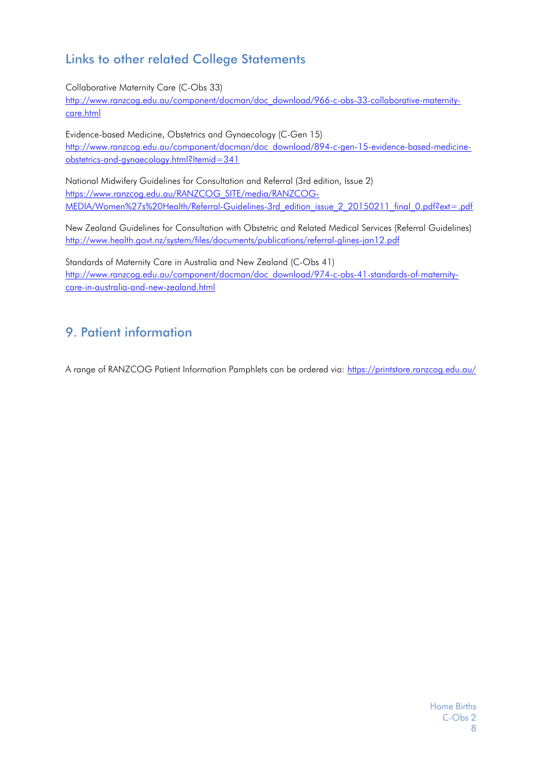# <span id="page-7-0"></span>Links to other related College Statements

Collaborative Maternity Care (C-Obs 33)

[http://www.ranzcog.edu.au/component/docman/doc\\_download/966-c-obs-33-collaborative-maternity](http://www.ranzcog.edu.au/component/docman/doc_download/966-c-obs-33-collaborative-maternity-care.html)[care.html](http://www.ranzcog.edu.au/component/docman/doc_download/966-c-obs-33-collaborative-maternity-care.html)

Evidence-based Medicine, Obstetrics and Gynaecology (C-Gen 15) [http://www.ranzcog.edu.au/component/docman/doc\\_download/894-c-gen-15-evidence-based-medicine](http://www.ranzcog.edu.au/component/docman/doc_download/894-c-gen-15-evidence-based-medicine-obstetrics-and-gynaecology.html?Itemid=341)[obstetrics-and-gynaecology.html?Itemid=341](http://www.ranzcog.edu.au/component/docman/doc_download/894-c-gen-15-evidence-based-medicine-obstetrics-and-gynaecology.html?Itemid=341)

National Midwifery Guidelines for Consultation and Referral (3rd edition, Issue 2) [https://www.ranzcog.edu.au/RANZCOG\\_SITE/media/RANZCOG-](https://www.ranzcog.edu.au/RANZCOG_SITE/media/RANZCOG-MEDIA/Women%27s%20Health/Referral-Guidelines-3rd_edition_issue_2_20150211_final_0.pdf?ext=.pdf)[MEDIA/Women%27s%20Health/Referral-Guidelines-3rd\\_edition\\_issue\\_2\\_20150211\\_final\\_0.pdf?ext=.pdf](https://www.ranzcog.edu.au/RANZCOG_SITE/media/RANZCOG-MEDIA/Women%27s%20Health/Referral-Guidelines-3rd_edition_issue_2_20150211_final_0.pdf?ext=.pdf)

New Zealand Guidelines for Consultation with Obstetric and Related Medical Services (Referral Guidelines) <http://www.health.govt.nz/system/files/documents/publications/referral-glines-jan12.pdf>

Standards of Maternity Care in Australia and New Zealand (C-Obs 41) [http://www.ranzcog.edu.au/component/docman/doc\\_download/974-c-obs-41-standards-of-maternity](http://www.ranzcog.edu.au/component/docman/doc_download/974-c-obs-41-standards-of-maternity-care-in-australia-and-new-zealand.html)[care-in-australia-and-new-zealand.html](http://www.ranzcog.edu.au/component/docman/doc_download/974-c-obs-41-standards-of-maternity-care-in-australia-and-new-zealand.html)

# <span id="page-7-1"></span>9. Patient information

A range of RANZCOG Patient Information Pamphlets can be ordered via: <https://printstore.ranzcog.edu.au/>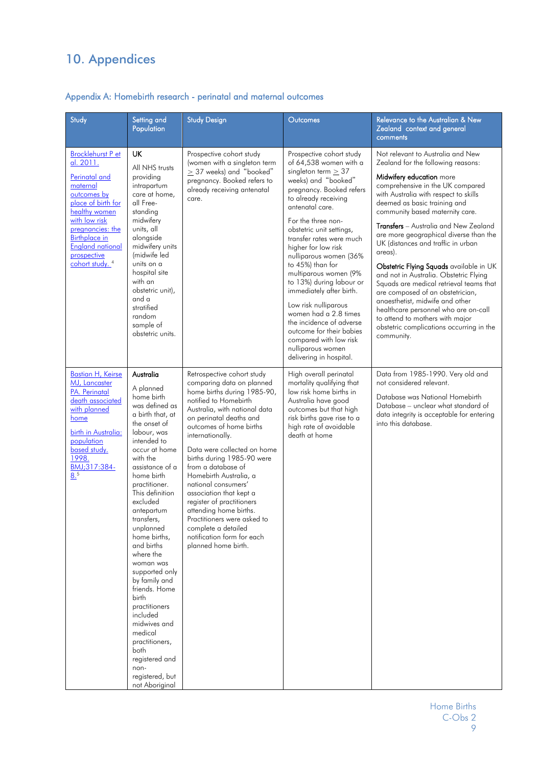# <span id="page-8-0"></span>10. Appendices

### <span id="page-8-1"></span>Appendix A: Homebirth research - perinatal and maternal outcomes

| Study                                                                                                                                                                                                                                                         | Setting and<br>Population                                                                                                                                                                                                                                                                                                                                                                                                                                                                                                                             | <b>Study Design</b>                                                                                                                                                                                                                                                                                                                                                                                                                                                                                                                                         | Outcomes                                                                                                                                                                                                                                                                                                                                                                                                                                                                                                                                                                                            | Relevance to the Australian & New<br>Zealand context and general<br>comments                                                                                                                                                                                                                                                                                                                                                                                                                                                                                                                                                                                                                                                               |
|---------------------------------------------------------------------------------------------------------------------------------------------------------------------------------------------------------------------------------------------------------------|-------------------------------------------------------------------------------------------------------------------------------------------------------------------------------------------------------------------------------------------------------------------------------------------------------------------------------------------------------------------------------------------------------------------------------------------------------------------------------------------------------------------------------------------------------|-------------------------------------------------------------------------------------------------------------------------------------------------------------------------------------------------------------------------------------------------------------------------------------------------------------------------------------------------------------------------------------------------------------------------------------------------------------------------------------------------------------------------------------------------------------|-----------------------------------------------------------------------------------------------------------------------------------------------------------------------------------------------------------------------------------------------------------------------------------------------------------------------------------------------------------------------------------------------------------------------------------------------------------------------------------------------------------------------------------------------------------------------------------------------------|--------------------------------------------------------------------------------------------------------------------------------------------------------------------------------------------------------------------------------------------------------------------------------------------------------------------------------------------------------------------------------------------------------------------------------------------------------------------------------------------------------------------------------------------------------------------------------------------------------------------------------------------------------------------------------------------------------------------------------------------|
| <b>Brocklehurst P et</b><br>al. 2011.<br>Perinatal and<br>maternal<br>outcomes by<br>place of birth for<br>healthy women<br>with low risk<br>pregnancies: the<br><b>Birthplace in</b><br><b>England national</b><br>prospective<br>cohort study. <sup>4</sup> | UK<br>All NHS trusts<br>providing<br>intrapartum<br>care at home,<br>all Free-<br>standing<br>midwifery<br>units, all<br>alongside<br>midwifery units<br>(midwife led<br>units on a<br>hospital site<br>with an<br>obstetric unit),<br>and a<br>stratified<br>random<br>sample of<br>obstetric units.                                                                                                                                                                                                                                                 | Prospective cohort study<br>(women with a singleton term<br>$\geq$ 37 weeks) and "booked"<br>pregnancy. Booked refers to<br>already receiving antenatal<br>care.                                                                                                                                                                                                                                                                                                                                                                                            | Prospective cohort study<br>of 64,538 women with a<br>singleton term $\geq$ 37<br>weeks) and "booked"<br>pregnancy. Booked refers<br>to already receiving<br>antenatal care.<br>For the three non-<br>obstetric unit settings,<br>transfer rates were much<br>higher for low risk<br>nulliparous women (36%<br>to 45%) than for<br>multiparous women (9%<br>to 13%) during labour or<br>immediately after birth.<br>Low risk nulliparous<br>women had a 2.8 times<br>the incidence of adverse<br>outcome for their babies<br>compared with low risk<br>nulliparous women<br>delivering in hospital. | Not relevant to Australia and New<br>Zealand for the following reasons:<br>Midwifery education more<br>comprehensive in the UK compared<br>with Australia with respect to skills<br>deemed as basic training and<br>community based maternity care.<br><b>Transfers</b> - Australia and New Zealand<br>are more geographical diverse than the<br>UK (distances and traffic in urban<br>areas).<br>Obstetric Flying Squads available in UK<br>and not in Australia. Obstetric Flying<br>Squads are medical retrieval teams that<br>are composed of an obstetrician,<br>anaesthetist, midwife and other<br>healthcare personnel who are on-call<br>to attend to mothers with major<br>obstetric complications occurring in the<br>community. |
| <b>Bastian H, Keirse</b><br>MJ, Lancaster<br>PA. Perinatal<br>death associated<br>with planned<br>home<br>birth in Australia:<br>population<br>based study.<br>1998.<br>BMJ;317:384-<br>8.5                                                                   | Australia<br>A planned<br>home birth<br>was defined as<br>a birth that, at<br>the onset of<br>labour, was<br>intended to<br>occur at home<br>with the<br>assistance of a<br>home birth<br>practitioner.<br>This definition<br>excluded<br>antepartum<br>transters,<br>unplanned<br>home births,<br>and births<br>where the<br>woman was<br>supported only<br>by family and<br>friends. Home<br>birth<br>practitioners<br>included<br>midwives and<br>medical<br>practitioners,<br>both<br>registered and<br>non-<br>registered, but<br>not Aboriginal | Retrospective cohort study<br>comparing data on planned<br>home births during 1985-90,<br>notified to Homebirth<br>Australia, with national data<br>on perinatal deaths and<br>outcomes of home births<br>internationally.<br>Data were collected on home<br>births during 1985-90 were<br>from a database of<br>Homebirth Australia, a<br>national consumers'<br>association that kept a<br>register of practitioners<br>attending home births.<br>Practitioners were asked to<br>complete a detailed<br>notification form for each<br>planned home birth. | High overall perinatal<br>mortality qualifying that<br>low risk home births in<br>Australia have good<br>outcomes but that high<br>risk births gave rise to a<br>high rate of avoidable<br>death at home                                                                                                                                                                                                                                                                                                                                                                                            | Data from 1985-1990. Very old and<br>not considered relevant.<br>Database was National Homebirth<br>Database - unclear what standard of<br>data integrity is acceptable for entering<br>into this database.                                                                                                                                                                                                                                                                                                                                                                                                                                                                                                                                |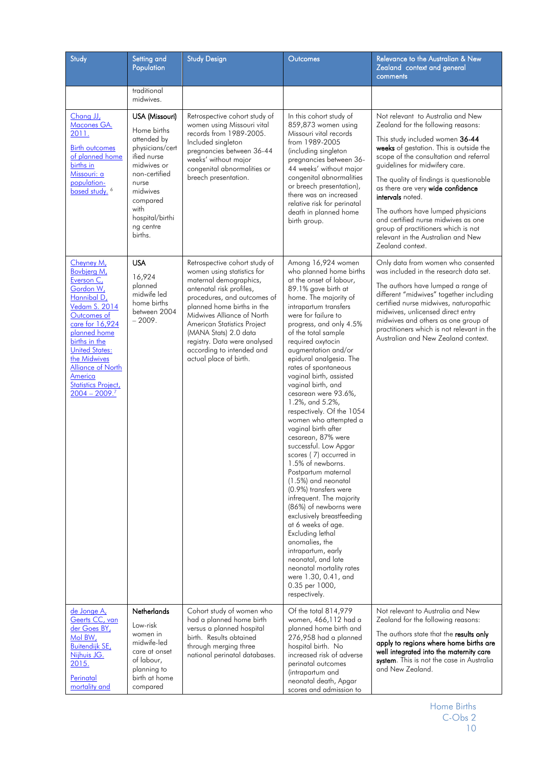| Study                                                                                                                                                                                                                                                                                    | Setting and<br>Population                                                                                                                                                                          | <b>Study Design</b>                                                                                                                                                                                                                                                                                                                                         | Outcomes                                                                                                                                                                                                                                                                                                                                                                                                                                                                                                                                                                                                                                                                                                                                                                                                                                                                                                                                                  | <b>Relevance to the Australian &amp; New</b><br>Zealand context and general<br>comments                                                                                                                                                                                                                                                                                                                                                                                                                             |
|------------------------------------------------------------------------------------------------------------------------------------------------------------------------------------------------------------------------------------------------------------------------------------------|----------------------------------------------------------------------------------------------------------------------------------------------------------------------------------------------------|-------------------------------------------------------------------------------------------------------------------------------------------------------------------------------------------------------------------------------------------------------------------------------------------------------------------------------------------------------------|-----------------------------------------------------------------------------------------------------------------------------------------------------------------------------------------------------------------------------------------------------------------------------------------------------------------------------------------------------------------------------------------------------------------------------------------------------------------------------------------------------------------------------------------------------------------------------------------------------------------------------------------------------------------------------------------------------------------------------------------------------------------------------------------------------------------------------------------------------------------------------------------------------------------------------------------------------------|---------------------------------------------------------------------------------------------------------------------------------------------------------------------------------------------------------------------------------------------------------------------------------------------------------------------------------------------------------------------------------------------------------------------------------------------------------------------------------------------------------------------|
|                                                                                                                                                                                                                                                                                          | traditional<br>midwives.                                                                                                                                                                           |                                                                                                                                                                                                                                                                                                                                                             |                                                                                                                                                                                                                                                                                                                                                                                                                                                                                                                                                                                                                                                                                                                                                                                                                                                                                                                                                           |                                                                                                                                                                                                                                                                                                                                                                                                                                                                                                                     |
| Chang JJ,<br>Macones GA.<br>2011.<br><b>Birth outcomes</b><br>of planned home<br>births in<br>Missouri: a<br>population-<br>based study. <sup>6</sup>                                                                                                                                    | USA (Missouri)<br>Home births<br>attended by<br>physicians/cert<br>ified nurse<br>midwives or<br>non-certified<br>nurse<br>midwives<br>compared<br>with<br>hospital/birthi<br>ng centre<br>births. | Retrospective cohort study of<br>women using Missouri vital<br>records from 1989-2005.<br>Included singleton<br>pregnancies between 36-44<br>weeks' without major<br>congenital abnormalities or<br>breech presentation.                                                                                                                                    | In this cohort study of<br>859,873 women using<br>Missouri vital records<br>from 1989-2005<br>(including singleton<br>pregnancies between 36-<br>44 weeks' without major<br>congenital abnormalities<br>or breech presentation),<br>there was an increased<br>relative risk for perinatal<br>death in planned home<br>birth group.                                                                                                                                                                                                                                                                                                                                                                                                                                                                                                                                                                                                                        | Not relevant to Australia and New<br>Zealand for the following reasons:<br>This study included women 36-44<br>weeks of gestation. This is outside the<br>scope of the consultation and referral<br>guidelines for midwifery care.<br>The quality of findings is questionable<br>as there are very wide confidence<br>intervals noted.<br>The authors have lumped physicians<br>and certified nurse midwives as one<br>aroup of practitioners which is not<br>relevant in the Australian and New<br>Zealand context. |
| Cheyney M,<br>Bovbjerg M,<br>Everson C,<br>Gordon W,<br>Hannibal D,<br>Vedam S. 2014<br>Outcomes of<br>care for 16,924<br>planned home<br>births in the<br><b>United States:</b><br>the Midwives<br><b>Alliance of North</b><br>America<br><b>Statistics Project,</b><br>$2004 - 2009$ . | <b>USA</b><br>16,924<br>planned<br>midwife led<br>home births<br>between 2004<br>$-2009.$                                                                                                          | Retrospective cohort study of<br>women using statistics for<br>maternal demographics,<br>antenatal risk profiles,<br>procedures, and outcomes of<br>planned home births in the<br>Midwives Alliance of North<br>American Statistics Project<br>(MANA Stats) 2.0 data<br>registry. Data were analysed<br>according to intended and<br>actual place of birth. | Among 16,924 women<br>who planned home births<br>at the onset of labour,<br>89.1% gave birth at<br>home. The majority of<br>intrapartum transfers<br>were for failure to<br>progress, and only 4.5%<br>of the total sample<br>required oxytocin<br>augmentation and/or<br>epidural analgesia. The<br>rates of spontaneous<br>vaginal birth, assisted<br>vaginal birth, and<br>cesarean were 93.6%,<br>1.2%, and 5.2%,<br>respectively. Of the 1054<br>women who attempted a<br>vaginal birth after<br>cesarean, 87% were<br>successful. Low Apgar<br>scores (7) occurred in<br>1.5% of newborns.<br>Postpartum maternal<br>(1.5%) and neonatal<br>(0.9%) transfers were<br>infrequent. The majority<br>(86%) of newborns were<br>exclusively breastfeeding<br>at 6 weeks of age.<br>Excluding lethal<br>anomalies, the<br>intrapartum, early<br>neonatal, and late<br>neonatal mortality rates<br>were 1.30, 0.41, and<br>0.35 per 1000,<br>respectively. | Only data from women who consented<br>was included in the research data set.<br>The authors have lumped a range of<br>different "midwives" together including<br>certified nurse midwives, naturopathic<br>midwives, unlicensed direct entry<br>midwives and others as one group of<br>practitioners which is not relevant in the<br>Australian and New Zealand context.                                                                                                                                            |
| de Jonge A,<br>Geerts CC, van<br>der Goes BY,<br>Mol BW,<br>Buitendijk SE,<br>Nijhuis JG.<br>2015.<br>Perinatal<br>mortality and                                                                                                                                                         | <b>Netherlands</b><br>Low-risk<br>women in<br>midwife-led<br>care at onset<br>of labour,<br>planning to<br>birth at home<br>compared                                                               | Cohort study of women who<br>had a planned home birth<br>versus a planned hospital<br>birth. Results obtained<br>through merging three<br>national perinatal databases.                                                                                                                                                                                     | Of the total 814,979<br>women, 466,112 had a<br>planned home birth and<br>276,958 had a planned<br>hospital birth. No<br>increased risk of adverse<br>perinatal outcomes<br>(intrapartum and<br>neonatal death, Apgar<br>scores and admission to                                                                                                                                                                                                                                                                                                                                                                                                                                                                                                                                                                                                                                                                                                          | Not relevant to Australia and New<br>Zealand for the following reasons:<br>The authors state that the results only<br>apply to regions where home births are<br>well integrated into the maternity care<br>system. This is not the case in Australia<br>and New Zealand.                                                                                                                                                                                                                                            |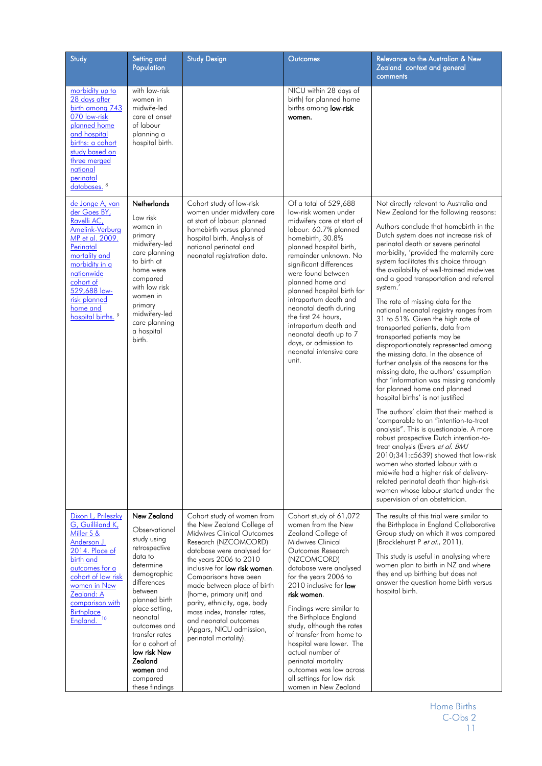| Study                                                                                                                                                                                                                                               | Setting and<br>Population                                                                                                                                                                                                                                                                               | <b>Study Design</b>                                                                                                                                                                                                                                                                                                                                                                                                                              | Outcomes                                                                                                                                                                                                                                                                                                                                                                                                                                                                                      | <b>Relevance to the Australian &amp; New</b><br>Zealand context and general<br>comments                                                                                                                                                                                                                                                                                                                                                                                                                                                                                                                                                                                                                                                                                                                                                                                                                                                                                                                                                                                                                                                                                                                                                                                                                                           |
|-----------------------------------------------------------------------------------------------------------------------------------------------------------------------------------------------------------------------------------------------------|---------------------------------------------------------------------------------------------------------------------------------------------------------------------------------------------------------------------------------------------------------------------------------------------------------|--------------------------------------------------------------------------------------------------------------------------------------------------------------------------------------------------------------------------------------------------------------------------------------------------------------------------------------------------------------------------------------------------------------------------------------------------|-----------------------------------------------------------------------------------------------------------------------------------------------------------------------------------------------------------------------------------------------------------------------------------------------------------------------------------------------------------------------------------------------------------------------------------------------------------------------------------------------|-----------------------------------------------------------------------------------------------------------------------------------------------------------------------------------------------------------------------------------------------------------------------------------------------------------------------------------------------------------------------------------------------------------------------------------------------------------------------------------------------------------------------------------------------------------------------------------------------------------------------------------------------------------------------------------------------------------------------------------------------------------------------------------------------------------------------------------------------------------------------------------------------------------------------------------------------------------------------------------------------------------------------------------------------------------------------------------------------------------------------------------------------------------------------------------------------------------------------------------------------------------------------------------------------------------------------------------|
| morbidity up to<br>28 days after<br>birth among 743<br>070 low-risk<br>planned home<br>and hospital<br>births: a cohort<br>study based on<br>three merged<br>national<br>perinatal<br>databases. <sup>8</sup>                                       | with low-risk<br>women in<br>midwife-led<br>care at onset<br>of labour<br>planning a<br>hospital birth.                                                                                                                                                                                                 |                                                                                                                                                                                                                                                                                                                                                                                                                                                  | NICU within 28 days of<br>birth) for planned home<br>births among low-risk<br>women.                                                                                                                                                                                                                                                                                                                                                                                                          |                                                                                                                                                                                                                                                                                                                                                                                                                                                                                                                                                                                                                                                                                                                                                                                                                                                                                                                                                                                                                                                                                                                                                                                                                                                                                                                                   |
| de Jonge A, van<br>der Goes BY,<br>Ravelli AC,<br><b>Amelink-Verburg</b><br>MP et al. 2009.<br>Perinatal<br>mortality and<br>morbidity in a<br>nationwide<br>cohort of<br>529,688 low-<br>risk planned<br>home and<br>hospital births. <sup>9</sup> | Netherlands<br>Low risk<br>women in<br>primary<br>midwifery-led<br>care planning<br>to birth at<br>home were<br>compared<br>with low risk<br>women in<br>primary<br>midwifery-led<br>care planning<br>a hospital<br>birth.                                                                              | Cohort study of low-risk<br>women under midwifery care<br>at start of labour: planned<br>homebirth versus planned<br>hospital birth. Analysis of<br>national perinatal and<br>neonatal registration data.                                                                                                                                                                                                                                        | Of a total of 529,688<br>low-risk women under<br>midwifery care at start of<br>labour: 60.7% planned<br>homebirth, 30.8%<br>planned hospital birth,<br>remainder unknown. No<br>significant differences<br>were found between<br>planned home and<br>planned hospital birth for<br>intrapartum death and<br>neonatal death during<br>the first 24 hours,<br>intrapartum death and<br>neonatal death up to 7<br>days, or admission to<br>neonatal intensive care<br>unit.                      | Not directly relevant to Australia and<br>New Zealand for the following reasons:<br>Authors conclude that homebirth in the<br>Dutch system does not increase risk of<br>perinatal death or severe perinatal<br>morbidity, 'provided the maternity care<br>system facilitates this choice through<br>the availability of well-trained midwives<br>and a good transportation and referral<br>system.'<br>The rate of missing data for the<br>national neonatal registry ranges from<br>31 to 51%. Given the high rate of<br>transported patients, data from<br>transported patients may be<br>disproportionately represented among<br>the missing data. In the absence of<br>further analysis of the reasons for the<br>missing data, the authors' assumption<br>that 'information was missing randomly<br>for planned home and planned<br>hospital births' is not justified<br>The authors' claim that their method is<br>'comparable to an "intention-to-treat<br>analysis". This is questionable. A more<br>robust prospective Dutch intention-to-<br>treat analysis (Evers et al. BMJ<br>2010;341:c5639) showed that low-risk<br>women who started labour with a<br>midwife had a higher risk of delivery-<br>related perinatal death than high-risk<br>women whose labour started under the<br>supervision of an obstetrician. |
| Dixon L, Prileszky<br>G, Guilliland K,<br>Miller S &<br>Anderson J.<br>2014. Place of<br>birth and<br>outcomes for a<br>cohort of low risk<br>women in New<br>Zealand: A<br>comparison with<br><b>Birthplace</b><br>England. <sup>10</sup>          | New Zealand<br>Observational<br>study using<br>retrospective<br>data to<br>determine<br>demographic<br>differences<br>between<br>planned birth<br>place setting,<br>neonatal<br>outcomes and<br>transfer rates<br>for a cohort of<br>low risk New<br>Zealand<br>women and<br>compared<br>these findings | Cohort study of women from<br>the New Zealand College of<br>Midwives Clinical Outcomes<br>Research (NZCOMCORD)<br>database were analysed for<br>the years 2006 to 2010<br>inclusive for <b>low risk women</b> .<br>Comparisons have been<br>made between place of birth<br>(home, primary unit) and<br>parity, ethnicity, age, body<br>mass index, transfer rates,<br>and neonatal outcomes<br>(Apgars, NICU admission,<br>perinatal mortality). | Cohort study of 61,072<br>women from the New<br>Zealand College of<br>Midwives Clinical<br>Outcomes Research<br>(NZCOMCORD)<br>database were analysed<br>for the years 2006 to<br>2010 inclusive for low<br>risk women.<br>Findings were similar to<br>the Birthplace England<br>study, although the rates<br>of transfer from home to<br>hospital were lower. The<br>actual number of<br>perinatal mortality<br>outcomes was low across<br>all settings for low risk<br>women in New Zealand | The results of this trial were similar to<br>the Birthplace in England Collaborative<br>Group study on which it was compared<br>(Brocklehurst P et al., 2011).<br>This study is useful in analysing where<br>women plan to birth in NZ and where<br>they end up birthing but does not<br>answer the question home birth versus<br>hospital birth.                                                                                                                                                                                                                                                                                                                                                                                                                                                                                                                                                                                                                                                                                                                                                                                                                                                                                                                                                                                 |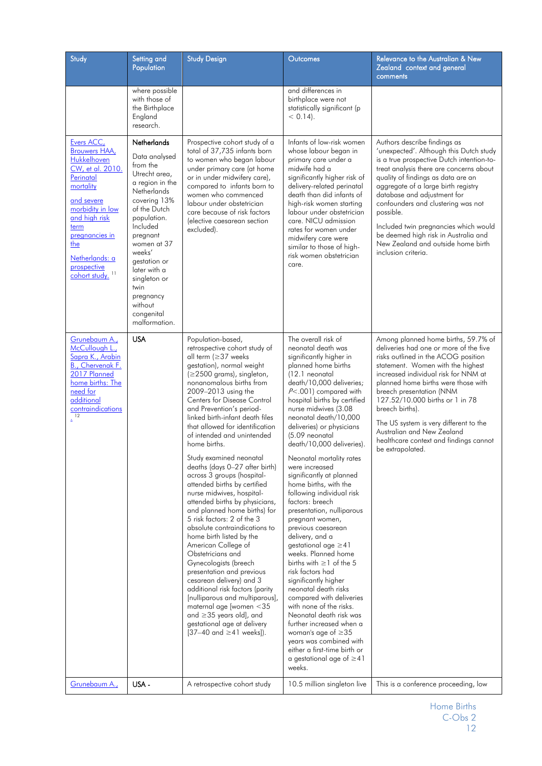| Study                                                                                                                                                                                                                                        | Setting and<br>Population                                                                                                                                                                                                                                                                                  | <b>Study Design</b>                                                                                                                                                                                                                                                                                                                                                                                                                                                                                                                                                                                                                                                                                                                                                                                                                                                                                                                                                                                                         | Outcomes                                                                                                                                                                                                                                                                                                                                                                                                                                                                                                                                                                                                                                                                                                                                                                                                                                                                                                                                                                                 | <b>Relevance to the Australian &amp; New</b><br>Zealand context and general<br>comments                                                                                                                                                                                                                                                                                                                                                                                      |
|----------------------------------------------------------------------------------------------------------------------------------------------------------------------------------------------------------------------------------------------|------------------------------------------------------------------------------------------------------------------------------------------------------------------------------------------------------------------------------------------------------------------------------------------------------------|-----------------------------------------------------------------------------------------------------------------------------------------------------------------------------------------------------------------------------------------------------------------------------------------------------------------------------------------------------------------------------------------------------------------------------------------------------------------------------------------------------------------------------------------------------------------------------------------------------------------------------------------------------------------------------------------------------------------------------------------------------------------------------------------------------------------------------------------------------------------------------------------------------------------------------------------------------------------------------------------------------------------------------|------------------------------------------------------------------------------------------------------------------------------------------------------------------------------------------------------------------------------------------------------------------------------------------------------------------------------------------------------------------------------------------------------------------------------------------------------------------------------------------------------------------------------------------------------------------------------------------------------------------------------------------------------------------------------------------------------------------------------------------------------------------------------------------------------------------------------------------------------------------------------------------------------------------------------------------------------------------------------------------|------------------------------------------------------------------------------------------------------------------------------------------------------------------------------------------------------------------------------------------------------------------------------------------------------------------------------------------------------------------------------------------------------------------------------------------------------------------------------|
|                                                                                                                                                                                                                                              | where possible<br>with those of<br>the Birthplace<br>England<br>research.                                                                                                                                                                                                                                  |                                                                                                                                                                                                                                                                                                                                                                                                                                                                                                                                                                                                                                                                                                                                                                                                                                                                                                                                                                                                                             | and differences in<br>birthplace were not<br>statistically significant (p<br>$< 0.14$ ).                                                                                                                                                                                                                                                                                                                                                                                                                                                                                                                                                                                                                                                                                                                                                                                                                                                                                                 |                                                                                                                                                                                                                                                                                                                                                                                                                                                                              |
| Evers ACC,<br>Brouwers HAA,<br>Hukkelhoven<br>CW, et al. 2010.<br>Perinatal<br>mortality<br>and severe<br>morbidity in low<br>and high risk<br>term<br>pregnancies in<br>the<br>Netherlands: a<br>prospective<br>cohort study. <sup>11</sup> | Netherlands<br>Data analysed<br>from the<br>Utrecht area,<br>a region in the<br>Netherlands<br>covering 13%<br>of the Dutch<br>population.<br>Included<br>pregnant<br>women at 37<br>weeks'<br>gestation or<br>later with a<br>singleton or<br>twin<br>pregnancy<br>without<br>congenital<br>malformation. | Prospective cohort study of a<br>total of 37,735 infants born<br>to women who began labour<br>under primary care (at home<br>or in under midwifery care),<br>compared to infants born to<br>women who commenced<br>labour under obstetrician<br>care because of risk factors<br>(elective caesarean section<br>excluded).                                                                                                                                                                                                                                                                                                                                                                                                                                                                                                                                                                                                                                                                                                   | Infants of low-risk women<br>whose labour began in<br>primary care under a<br>midwife had a<br>significantly higher risk of<br>delivery-related perinatal<br>death than did infants of<br>high-risk women starting<br>labour under obstetrician<br>care. NICU admission<br>rates for women under<br>midwifery care were<br>similar to those of high-<br>risk women obstetrician<br>care.                                                                                                                                                                                                                                                                                                                                                                                                                                                                                                                                                                                                 | Authors describe findings as<br>'unexpected'. Although this Dutch study<br>is a true prospective Dutch intention-to-<br>treat analysis there are concerns about<br>quality of findings as data are an<br>aggregate of a large birth registry<br>database and adjustment for<br>confounders and clustering was not<br>possible.<br>Included twin pregnancies which would<br>be deemed high risk in Australia and<br>New Zealand and outside home birth<br>inclusion criteria. |
| Grunebaum A.,<br>McCullough L.,<br>Sapra K., Arabin<br>B., Chervenak F.<br>2017 Planned<br>home births: The<br>need for<br>additional<br>contraindications<br>12<br>Δ                                                                        | <b>USA</b>                                                                                                                                                                                                                                                                                                 | Population-based,<br>retrospective cohort study of<br>all term (≥37 weeks<br>gestation), normal weight<br>(≥2500 grams), singleton,<br>nonanomalous births from<br>2009-2013 using the<br>Centers for Disease Control<br>and Prevention's period-<br>linked birth-infant death files<br>that allowed for identification<br>of intended and unintended<br>home births.<br>Study examined neonatal<br>deaths (days 0-27 after birth)<br>across 3 groups (hospital-<br>attended births by certified<br>nurse midwives, hospital-<br>attended births by physicians,<br>and planned home births) for<br>5 risk factors: 2 of the 3<br>absolute contraindications to<br>home birth listed by the<br>American College of<br>Obstetricians and<br>Gynecologists (breech<br>presentation and previous<br>cesarean delivery) and 3<br>additional risk factors (parity<br>[nulliparous and multiparous],<br>maternal age [women <35<br>and $\geq$ 35 years old], and<br>gestational age at delivery<br>$[37-40$ and $\geq 41$ weeks]). | The overall risk of<br>neonatal death was<br>significantly higher in<br>planned home births<br>(12.1 neonatal<br>death/10,000 deliveries;<br>$P<.001$ ) compared with<br>hospital births by certified<br>nurse midwives (3.08<br>neonatal death/10,000<br>deliveries) or physicians<br>(5.09 neonatal<br>death/10,000 deliveries).<br>Neonatal mortality rates<br>were increased<br>significantly at planned<br>home births, with the<br>following individual risk<br>factors: breech<br>presentation, nulliparous<br>pregnant women,<br>previous caesarean<br>delivery, and a<br>gestational age $\geq 41$<br>weeks. Planned home<br>births with $\geq 1$ of the 5<br>risk factors had<br>significantly higher<br>neonatal death risks<br>compared with deliveries<br>with none of the risks.<br>Neonatal death risk was<br>further increased when a<br>woman's age of $\geq$ 35<br>years was combined with<br>either a first-time birth or<br>a gestational age of $\geq$ 41<br>weeks. | Among planned home births, 59.7% of<br>deliveries had one or more of the five<br>risks outlined in the ACOG position<br>statement. Women with the highest<br>increased individual risk for NNM at<br>planned home births were those with<br>breech presentation (NNM<br>127.52/10.000 births or 1 in 78<br>breech births).<br>The US system is very different to the<br>Australian and New Zealand<br>healthcare context and findings cannot<br>be extrapolated.             |
| Grunebaum A.,                                                                                                                                                                                                                                | USA -                                                                                                                                                                                                                                                                                                      | A retrospective cohort study                                                                                                                                                                                                                                                                                                                                                                                                                                                                                                                                                                                                                                                                                                                                                                                                                                                                                                                                                                                                | 10.5 million singleton live                                                                                                                                                                                                                                                                                                                                                                                                                                                                                                                                                                                                                                                                                                                                                                                                                                                                                                                                                              | This is a conference proceeding, low                                                                                                                                                                                                                                                                                                                                                                                                                                         |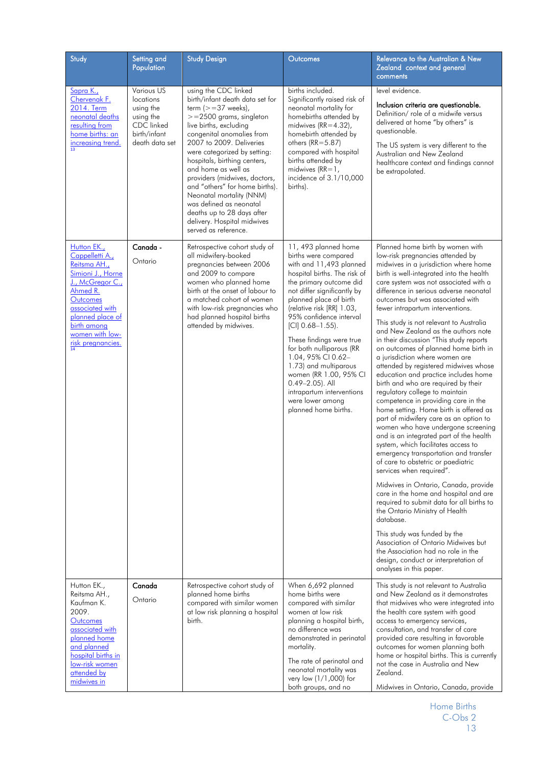| Study                                                                                                                                                                                                         | Setting and<br>Population                                                                                | <b>Study Design</b>                                                                                                                                                                                                                                                                                                                                                                                                                                                                                    | Outcomes                                                                                                                                                                                                                                                                                                                                                                                                                                                                                                       | Relevance to the Australian & New<br>Zealand context and general<br>comments                                                                                                                                                                                                                                                                                                                                                                                                                                                                                                                                                                                                                                                                                                                                                                                                                                                                                                                                                                                                                                                                                                                                                                                                                                                                                                                                     |
|---------------------------------------------------------------------------------------------------------------------------------------------------------------------------------------------------------------|----------------------------------------------------------------------------------------------------------|--------------------------------------------------------------------------------------------------------------------------------------------------------------------------------------------------------------------------------------------------------------------------------------------------------------------------------------------------------------------------------------------------------------------------------------------------------------------------------------------------------|----------------------------------------------------------------------------------------------------------------------------------------------------------------------------------------------------------------------------------------------------------------------------------------------------------------------------------------------------------------------------------------------------------------------------------------------------------------------------------------------------------------|------------------------------------------------------------------------------------------------------------------------------------------------------------------------------------------------------------------------------------------------------------------------------------------------------------------------------------------------------------------------------------------------------------------------------------------------------------------------------------------------------------------------------------------------------------------------------------------------------------------------------------------------------------------------------------------------------------------------------------------------------------------------------------------------------------------------------------------------------------------------------------------------------------------------------------------------------------------------------------------------------------------------------------------------------------------------------------------------------------------------------------------------------------------------------------------------------------------------------------------------------------------------------------------------------------------------------------------------------------------------------------------------------------------|
| Sapra K.,<br>Chervenak F.<br>2014. Term<br>neonatal deaths<br>resulting from<br>home births: an<br>increasing trend.<br>13                                                                                    | Various US<br>locations<br>using the<br>using the<br><b>CDC</b> linked<br>birth/infant<br>death data set | using the CDC linked<br>birth/infant death data set for<br>term $(>=37$ weeks),<br>$>=$ 2500 grams, singleton<br>live births, excluding<br>congenital anomalies from<br>2007 to 2009. Deliveries<br>were categorized by setting:<br>hospitals, birthing centers,<br>and home as well as<br>providers (midwives, doctors,<br>and "others" for home births).<br>Neonatal mortality (NNM)<br>was defined as neonatal<br>deaths up to 28 days after<br>delivery. Hospital midwives<br>served as reference. | births included.<br>Significantly raised risk of<br>neonatal mortality for<br>homebirths attended by<br>midwives (RR=4.32),<br>homebirth attended by<br>others $(RR = 5.87)$<br>compared with hospital<br>births attended by<br>midwives $(RR=1)$ ,<br>incidence of 3.1/10,000<br>births).                                                                                                                                                                                                                     | level evidence.<br>Inclusion criteria are questionable.<br>Definition/role of a midwife versus<br>delivered at home "by others" is<br>questionable.<br>The US system is very different to the<br>Australian and New Zealand<br>healthcare context and findings cannot<br>be extrapolated.                                                                                                                                                                                                                                                                                                                                                                                                                                                                                                                                                                                                                                                                                                                                                                                                                                                                                                                                                                                                                                                                                                                        |
| Hutton EK.,<br>Cappelletti A.,<br>Reitsma AH.,<br>Simioni J., Horne<br>J., McGregor C.,<br>Ahmed R.<br>Outcomes<br>associated with<br>planned place of<br>birth among<br>women with low-<br>risk pregnancies. | Canada -<br>Ontario                                                                                      | Retrospective cohort study of<br>all midwifery-booked<br>pregnancies between 2006<br>and 2009 to compare<br>women who planned home<br>birth at the onset of labour to<br>a matched cohort of women<br>with low-risk pregnancies who<br>had planned hospital births<br>attended by midwives.                                                                                                                                                                                                            | 11, 493 planned home<br>births were compared<br>with and 11,493 planned<br>hospital births. The risk of<br>the primary outcome did<br>not differ significantly by<br>planned place of birth<br>(relative risk [RR] 1.03,<br>95% confidence interval<br>$[CI] 0.68 - 1.55$ ).<br>These findings were true<br>for both nulliparous (RR<br>1.04, 95% CI 0.62-<br>1.73) and multiparous<br>women (RR 1.00, 95% CI<br>$0.49 - 2.05$ ). All<br>intrapartum interventions<br>were lower among<br>planned home births. | Planned home birth by women with<br>low-risk pregnancies attended by<br>midwives in a jurisdiction where home<br>birth is well-integrated into the health<br>care system was not associated with a<br>difference in serious adverse neonatal<br>outcomes but was associated with<br>fewer intrapartum interventions.<br>This study is not relevant to Australia<br>and New Zealand as the authors note<br>in their discussion "This study reports<br>on outcomes of planned home birth in<br>a jurisdiction where women are<br>attended by registered midwives whose<br>education and practice includes home<br>birth and who are required by their<br>regulatory college to maintain<br>competence in providing care in the<br>home setting. Home birth is offered as<br>part of midwifery care as an option to<br>women who have undergone screening<br>and is an integrated part of the health<br>system, which facilitates access to<br>emergency transportation and transfer<br>of care to obstetric or paediatric<br>services when required".<br>Midwives in Ontario, Canada, provide<br>care in the home and hospital and are<br>required to submit data for all births to<br>the Ontario Ministry of Health<br>database.<br>This study was funded by the<br>Association of Ontario Midwives but<br>the Association had no role in the<br>design, conduct or interpretation of<br>analyses in this paper. |
| Hutton EK.,<br>Reitsma AH.,<br>Kaufman K.<br>2009.<br>Outcomes<br>associated with<br>planned home<br>and planned<br>hospital births in<br>low-risk women<br>attended by<br>midwives in                        | Canada<br>Ontario                                                                                        | Retrospective cohort study of<br>planned home births<br>compared with similar women<br>at low risk planning a hospital<br>birth.                                                                                                                                                                                                                                                                                                                                                                       | When 6,692 planned<br>home births were<br>compared with similar<br>women at low risk<br>planning a hospital birth,<br>no difference was<br>demonstrated in perinatal<br>mortality.<br>The rate of perinatal and<br>neonatal mortality was<br>very low (1/1,000) for<br>both groups, and no                                                                                                                                                                                                                     | This study is not relevant to Australia<br>and New Zealand as it demonstrates<br>that midwives who were integrated into<br>the health care system with good<br>access to emergency services,<br>consultation, and transfer of care<br>provided care resulting in favorable<br>outcomes for women planning both<br>home or hospital births. This is currently<br>not the case in Australia and New<br>Zealand.<br>Midwives in Ontario, Canada, provide                                                                                                                                                                                                                                                                                                                                                                                                                                                                                                                                                                                                                                                                                                                                                                                                                                                                                                                                                            |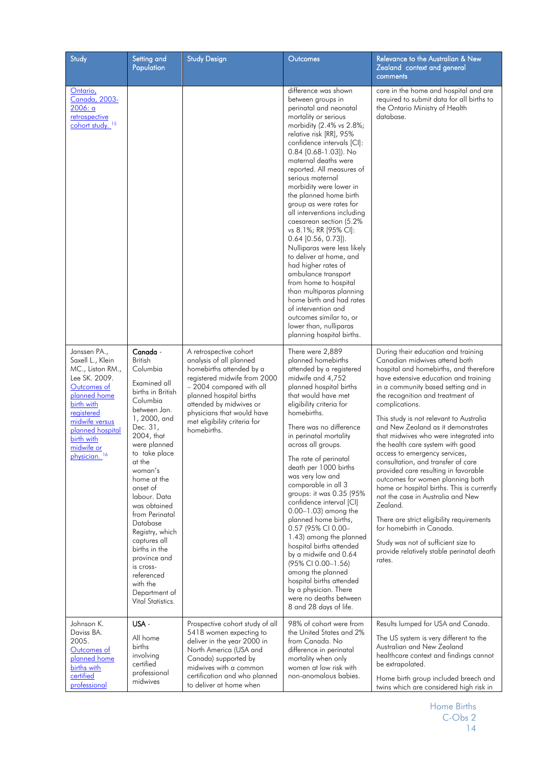| Study                                                                                                                                                                                                                          | Setting and<br>Population                                                                                                                                                                                                                                                                                                                                                                                                                         | <b>Study Design</b>                                                                                                                                                                                                                                                          | Outcomes                                                                                                                                                                                                                                                                                                                                                                                                                                                                                                                                                                                                                                                                                                                                                                           | Relevance to the Australian & New<br>Zealand context and general<br>comments                                                                                                                                                                                                                                                                                                                                                                                                                                                                                                                                                                                                                                                                                                                                                                 |
|--------------------------------------------------------------------------------------------------------------------------------------------------------------------------------------------------------------------------------|---------------------------------------------------------------------------------------------------------------------------------------------------------------------------------------------------------------------------------------------------------------------------------------------------------------------------------------------------------------------------------------------------------------------------------------------------|------------------------------------------------------------------------------------------------------------------------------------------------------------------------------------------------------------------------------------------------------------------------------|------------------------------------------------------------------------------------------------------------------------------------------------------------------------------------------------------------------------------------------------------------------------------------------------------------------------------------------------------------------------------------------------------------------------------------------------------------------------------------------------------------------------------------------------------------------------------------------------------------------------------------------------------------------------------------------------------------------------------------------------------------------------------------|----------------------------------------------------------------------------------------------------------------------------------------------------------------------------------------------------------------------------------------------------------------------------------------------------------------------------------------------------------------------------------------------------------------------------------------------------------------------------------------------------------------------------------------------------------------------------------------------------------------------------------------------------------------------------------------------------------------------------------------------------------------------------------------------------------------------------------------------|
| Ontario,<br>Canada, 2003-<br>2006: a<br>retrospective<br>cohort study. <sup>15</sup>                                                                                                                                           |                                                                                                                                                                                                                                                                                                                                                                                                                                                   |                                                                                                                                                                                                                                                                              | difference was shown<br>between groups in<br>perinatal and neonatal<br>mortality or serious<br>morbidity (2.4% vs 2.8%;<br>relative risk [RR], 95%<br>confidence intervals [CI]:<br>$0.84$ [0.68-1.03]). No<br>maternal deaths were<br>reported. All measures of<br>serious maternal<br>morbidity were lower in<br>the planned home birth<br>group as were rates for<br>all interventions including<br>caesarean section (5.2%<br>vs 8.1%; RR [95% CI]:<br>$0.64$ [0.56, 0.73]).<br>Nulliparas were less likely<br>to deliver at home, and<br>had higher rates of<br>ambulance transport<br>from home to hospital<br>than multiparas planning<br>home birth and had rates<br>of intervention and<br>outcomes similar to, or<br>lower than, nulliparas<br>planning hospital births. | care in the home and hospital and are<br>required to submit data for all births to<br>the Ontario Ministry of Health<br>database.                                                                                                                                                                                                                                                                                                                                                                                                                                                                                                                                                                                                                                                                                                            |
| Janssen PA.,<br>Saxell L., Klein<br>MC., Liston RM.,<br>Lee SK. 2009.<br>Outcomes of<br>planned home<br>birth with<br>registered<br>midwife versus<br>planned hospital<br>birth with<br>midwife or<br>physician. <sup>16</sup> | Canada -<br><b>British</b><br>Columbia<br>Examined all<br>births in British<br>Columbia<br>between Jan.<br>1, 2000, and<br>Dec. 31,<br>2004, that<br>were planned<br>to take place<br>at the<br>woman's<br>home at the<br>onset of<br>labour. Data<br>was obtained<br>from Perinatal<br>Database<br>Registry, which<br>captures all<br>births in the<br>province and<br>is cross-<br>referenced<br>with the<br>Department of<br>Vital Statistics. | A retrospective cohort<br>analysis of all planned<br>homebirths attended by a<br>registered midwife from 2000<br>- 2004 compared with all<br>planned hospital births<br>attended by midwives or<br>physicians that would have<br>met eligibility criteria for<br>homebirths. | There were 2,889<br>planned homebirths<br>attended by a registered<br>midwife and 4,752<br>planned hospital births<br>that would have met<br>eligibility criteria for<br>homebirths.<br>There was no difference<br>in perinatal mortality<br>across all groups.<br>The rate of perinatal<br>death per 1000 births<br>was very low and<br>comparable in all 3<br>groups: it was 0.35 (95%<br>confidence interval [CI]<br>$0.00 - 1.03$ ) among the<br>planned home births,<br>0.57 (95% CI 0.00-<br>1.43) among the planned<br>hospital births attended<br>by a midwife and 0.64<br>(95% CI 0.00-1.56)<br>among the planned<br>hospital births attended<br>by a physician. There<br>were no deaths between<br>8 and 28 days of life.                                                | During their education and training<br>Canadian midwives attend both<br>hospital and homebirths, and therefore<br>have extensive education and training<br>in a community based setting and in<br>the recognition and treatment of<br>complications.<br>This study is not relevant to Australia<br>and New Zealand as it demonstrates<br>that midwives who were integrated into<br>the health care system with good<br>access to emergency services,<br>consultation, and transfer of care<br>provided care resulting in favorable<br>outcomes for women planning both<br>home or hospital births. This is currently<br>not the case in Australia and New<br>Zealand.<br>There are strict eligibility requirements<br>for homebirth in Canada.<br>Study was not of sufficient size to<br>provide relatively stable perinatal death<br>rates. |
| Johnson K.<br>Daviss BA.<br>2005.<br>Outcomes of<br>planned home<br>births with<br>certified<br>professional                                                                                                                   | USA -<br>All home<br>births<br>involving<br>certified<br>professional<br>midwives                                                                                                                                                                                                                                                                                                                                                                 | Prospective cohort study of all<br>5418 women expecting to<br>deliver in the year 2000 in<br>North America (USA and<br>Canada) supported by<br>midwives with a common<br>certification and who planned<br>to deliver at home when                                            | 98% of cohort were from<br>the United States and 2%<br>from Canada. No<br>difference in perinatal<br>mortality when only<br>women at low risk with<br>non-anomalous babies.                                                                                                                                                                                                                                                                                                                                                                                                                                                                                                                                                                                                        | Results lumped for USA and Canada.<br>The US system is very different to the<br>Australian and New Zealand<br>healthcare context and findings cannot<br>be extrapolated.<br>Home birth group included breech and<br>twins which are considered high risk in                                                                                                                                                                                                                                                                                                                                                                                                                                                                                                                                                                                  |

Home Births C-Obs 2 14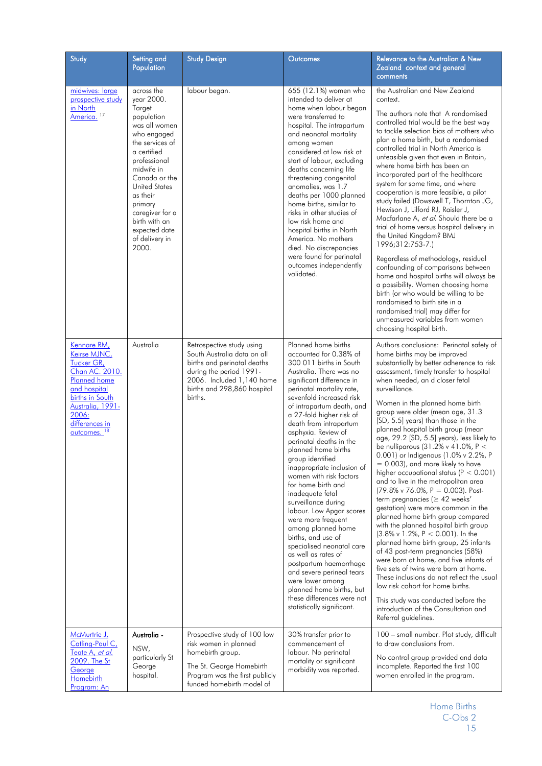| Study                                                                                                                                                                                    | Setting and<br>Population                                                                                                                                                                                                                                                                        | <b>Study Design</b>                                                                                                                                                                       | Outcomes                                                                                                                                                                                                                                                                                                                                                                                                                                                                                                                                                                                                                                                                                                                                                                                                                 | Relevance to the Australian & New<br>Zealand context and general<br>comments                                                                                                                                                                                                                                                                                                                                                                                                                                                                                                                                                                                                                                                                                                                                                                                                                                                                                                                                                                                                                                                                                                                                                                     |
|------------------------------------------------------------------------------------------------------------------------------------------------------------------------------------------|--------------------------------------------------------------------------------------------------------------------------------------------------------------------------------------------------------------------------------------------------------------------------------------------------|-------------------------------------------------------------------------------------------------------------------------------------------------------------------------------------------|--------------------------------------------------------------------------------------------------------------------------------------------------------------------------------------------------------------------------------------------------------------------------------------------------------------------------------------------------------------------------------------------------------------------------------------------------------------------------------------------------------------------------------------------------------------------------------------------------------------------------------------------------------------------------------------------------------------------------------------------------------------------------------------------------------------------------|--------------------------------------------------------------------------------------------------------------------------------------------------------------------------------------------------------------------------------------------------------------------------------------------------------------------------------------------------------------------------------------------------------------------------------------------------------------------------------------------------------------------------------------------------------------------------------------------------------------------------------------------------------------------------------------------------------------------------------------------------------------------------------------------------------------------------------------------------------------------------------------------------------------------------------------------------------------------------------------------------------------------------------------------------------------------------------------------------------------------------------------------------------------------------------------------------------------------------------------------------|
| midwives: large<br>prospective study<br>in North<br>America, 17                                                                                                                          | across the<br>year 2000.<br>Target<br>population<br>was all women<br>who engaged<br>the services of<br>a certified<br>professional<br>midwife in<br>Canada or the<br><b>United States</b><br>as their<br>primary<br>caregiver for a<br>birth with an<br>expected date<br>of delivery in<br>2000. | labour began.                                                                                                                                                                             | 655 (12.1%) women who<br>intended to deliver at<br>home when labour began<br>were transferred to<br>hospital. The intrapartum<br>and neonatal mortality<br>among women<br>considered at low risk at<br>start of labour, excluding<br>deaths concerning life<br>threatening congenital<br>anomalies, was 1.7<br>deaths per 1000 planned<br>home births, similar to<br>risks in other studies of<br>low risk home and<br>hospital births in North<br>America. No mothers<br>died. No discrepancies<br>were found for perinatal<br>outcomes independently<br>validated.                                                                                                                                                                                                                                                     | the Australian and New Zealand<br>context.<br>The authors note that A randomised<br>controlled trial would be the best way<br>to tackle selection bias of mothers who<br>plan a home birth, but a randomised<br>controlled trial in North America is<br>unfeasible given that even in Britain,<br>where home birth has been an<br>incorporated part of the healthcare<br>system for some time, and where<br>cooperation is more feasible, a pilot<br>study failed (Dowswell T, Thornton JG,<br>Hewison J, Lilford RJ, Raisler J,<br>Macfarlane A, et al. Should there be a<br>trial of home versus hospital delivery in<br>the United Kingdom? BMJ<br>1996;312:753-7.)<br>Regardless of methodology, residual<br>confounding of comparisons between<br>home and hospital births will always be<br>a possibility. Women choosing home<br>birth (or who would be willing to be<br>randomised to birth site in a<br>randomised trial) may differ for<br>unmeasured variables from women<br>choosing hospital birth.                                                                                                                                                                                                                                 |
| Kennare RM,<br>Keirse MJNC,<br>Tucker GR,<br>Chan AC. 2010.<br>Planned home<br>and hospital<br>births in South<br>Australia, 1991-<br>2006:<br>differences in<br>outcomes. <sup>18</sup> | Australia                                                                                                                                                                                                                                                                                        | Retrospective study using<br>South Australia data on all<br>births and perinatal deaths<br>during the period 1991-<br>2006. Included 1,140 home<br>births and 298,860 hospital<br>births. | Planned home births<br>accounted for 0.38% of<br>300 011 births in South<br>Australia. There was no<br>significant difference in<br>perinatal mortality rate,<br>sevenfold increased risk<br>of intrapartum death, and<br>a 27-fold higher risk of<br>death from intrapartum<br>asphyxia. Review of<br>perinatal deaths in the<br>planned home births<br>group identified<br>inappropriate inclusion of<br>women with risk factors<br>for home birth and<br>inadequate fetal<br>surveillance during<br>labour. Low Apgar scores<br>were more frequent<br>among planned home<br>births, and use of<br>specialised neonatal care<br>as well as rates of<br>postpartum haemorrhage<br>and severe perineal tears<br>were lower among<br>planned home births, but<br>these differences were not<br>statistically significant. | Authors conclusions: Perinatal safety of<br>home births may be improved<br>substantially by better adherence to risk<br>assessment, timely transfer to hospital<br>when needed, an d closer fetal<br>surveillance.<br>Women in the planned home birth<br>group were older (mean age, 31.3<br>[SD, 5.5] years) than those in the<br>planned hospital birth group (mean<br>age, 29.2 [SD, 5.5] years), less likely to<br>be nulliparous (31.2% v 41.0%, $P <$<br>0.001) or Indigenous (1.0% v 2.2%, P<br>$= 0.003$ , and more likely to have<br>higher occupational status ( $P < 0.001$ )<br>and to live in the metropolitan area<br>$(79.8\% \times 76.0\%, P = 0.003)$ . Post-<br>term pregnancies ( $\geq 42$ weeks'<br>gestation) were more common in the<br>planned home birth group compared<br>with the planned hospital birth group<br>$(3.8\% \times 1.2\%, P < 0.001)$ . In the<br>planned home birth group, 25 infants<br>of 43 post-term pregnancies (58%)<br>were born at home, and five infants of<br>five sets of twins were born at home.<br>These inclusions do not reflect the usual<br>low risk cohort for home births.<br>This study was conducted before the<br>introduction of the Consultation and<br>Referral guidelines. |
| McMurtrie J,<br>Catling-Paul C,<br>Teate A, et al.<br>2009. The St<br>George<br>Homebirth<br>Program: An                                                                                 | Australia -<br>NSW,<br>particularly St<br>George<br>hospital.                                                                                                                                                                                                                                    | Prospective study of 100 low<br>risk women in planned<br>homebirth group.<br>The St. George Homebirth<br>Program was the first publicly<br>funded homebirth model of                      | 30% transfer prior to<br>commencement of<br>labour. No perinatal<br>mortality or significant<br>morbidity was reported.                                                                                                                                                                                                                                                                                                                                                                                                                                                                                                                                                                                                                                                                                                  | 100 - small number. Plot study, difficult<br>to draw conclusions from.<br>No control group provided and data<br>incomplete. Reported the first 100<br>women enrolled in the program.                                                                                                                                                                                                                                                                                                                                                                                                                                                                                                                                                                                                                                                                                                                                                                                                                                                                                                                                                                                                                                                             |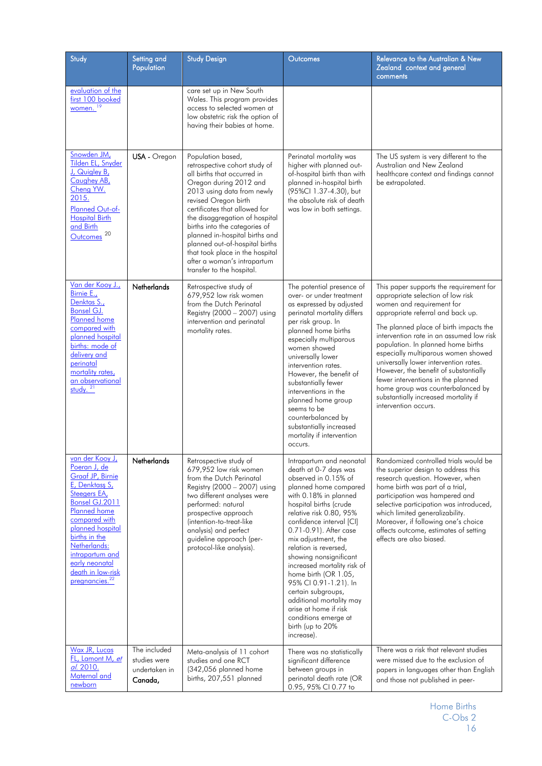| Study                                                                                                                                                                                                                                                                                               | Setting and<br>Population                                | <b>Study Design</b>                                                                                                                                                                                                                                                                                                                                                                                                                      | Outcomes                                                                                                                                                                                                                                                                                                                                                                                                                                                                                                                              | Relevance to the Australian & New<br>Zealand context and general<br>comments                                                                                                                                                                                                                                                                                                                                                                                                                                                                   |
|-----------------------------------------------------------------------------------------------------------------------------------------------------------------------------------------------------------------------------------------------------------------------------------------------------|----------------------------------------------------------|------------------------------------------------------------------------------------------------------------------------------------------------------------------------------------------------------------------------------------------------------------------------------------------------------------------------------------------------------------------------------------------------------------------------------------------|---------------------------------------------------------------------------------------------------------------------------------------------------------------------------------------------------------------------------------------------------------------------------------------------------------------------------------------------------------------------------------------------------------------------------------------------------------------------------------------------------------------------------------------|------------------------------------------------------------------------------------------------------------------------------------------------------------------------------------------------------------------------------------------------------------------------------------------------------------------------------------------------------------------------------------------------------------------------------------------------------------------------------------------------------------------------------------------------|
| evaluation of the<br>first 100 booked<br>women. $19$                                                                                                                                                                                                                                                |                                                          | care set up in New South<br>Wales. This program provides<br>access to selected women at<br>low obstetric risk the option of<br>having their babies at home.                                                                                                                                                                                                                                                                              |                                                                                                                                                                                                                                                                                                                                                                                                                                                                                                                                       |                                                                                                                                                                                                                                                                                                                                                                                                                                                                                                                                                |
| Snowden JM,<br>Tilden EL, Snyder<br>J, Quigley B,<br>Caughey AB,<br>Cheng YW.<br>2015.<br>Planned Out-of-<br><b>Hospital Birth</b><br>and Birth<br>20<br>Outcomes                                                                                                                                   | USA - Oregon                                             | Population based,<br>retrospective cohort study of<br>all births that occurred in<br>Oregon during 2012 and<br>2013 using data from newly<br>revised Oregon birth<br>certificates that allowed for<br>the disaggregation of hospital<br>births into the categories of<br>planned in-hospital births and<br>planned out-of-hospital births<br>that took place in the hospital<br>after a woman's intrapartum<br>transfer to the hospital. | Perinatal mortality was<br>higher with planned out-<br>of-hospital birth than with<br>planned in-hospital birth<br>(95%Cl 1.37-4.30), but<br>the absolute risk of death<br>was low in both settings.                                                                                                                                                                                                                                                                                                                                  | The US system is very different to the<br>Australian and New Zealand<br>healthcare context and findings cannot<br>be extrapolated.                                                                                                                                                                                                                                                                                                                                                                                                             |
| Van der Kooy J.,<br>Birnie E.,<br>Denktas S.,<br>Bonsel GJ.<br>Planned home<br>compared with<br>planned hospital<br>births: mode of<br>delivery and<br>perinatal<br>mortality rates,<br>an observational<br>study. $21$                                                                             | Netherlands                                              | Retrospective study of<br>679,952 low risk women<br>from the Dutch Perinatal<br>Registry (2000 - 2007) using<br>intervention and perinatal<br>mortality rates.                                                                                                                                                                                                                                                                           | The potential presence of<br>over- or under treatment<br>as expressed by adjusted<br>perinatal mortality differs<br>per risk group. In<br>planned home births<br>especially multiparous<br>women showed<br>universally lower<br>intervention rates.<br>However, the benefit of<br>substantially fewer<br>interventions in the<br>planned home group<br>seems to be<br>counterbalanced by<br>substantially increased<br>mortality if intervention<br>occurs.                                                                           | This paper supports the requirement for<br>appropriate selection of low risk<br>women and requirement for<br>appropriate referral and back up.<br>The planned place of birth impacts the<br>intervention rate in an assumed low risk<br>population. In planned home births<br>especially multiparous women showed<br>universally lower intervention rates.<br>However, the benefit of substantially<br>fewer interventions in the planned<br>home group was counterbalanced by<br>substantially increased mortality if<br>intervention occurs. |
| van der Kooy J,<br>Poeran J, de<br><b>Graaf JP, Birnie</b><br>E, Denktass S,<br>Steegers EA,<br><b>Bonsel GJ.2011</b><br>Planned home<br>compared with<br>planned hospital<br>births in the<br>Netherlands:<br>intrapartum and<br>early neonatal<br>death in low-risk<br>pregnancies. <sup>22</sup> | Netherlands                                              | Retrospective study of<br>679,952 low risk women<br>from the Dutch Perinatal<br>Registry (2000 - 2007) using<br>two different analyses were<br>performed: natural<br>prospective approach<br>(intention-to-treat-like<br>analysis) and perfect<br>guideline approach (per-<br>protocol-like analysis).                                                                                                                                   | Intrapartum and neonatal<br>death at 0-7 days was<br>observed in 0.15% of<br>planned home compared<br>with 0.18% in planned<br>hospital births (crude<br>relative risk 0.80, 95%<br>confidence interval [CI]<br>0.71-0.91). After case<br>mix adjustment, the<br>relation is reversed,<br>showing nonsignificant<br>increased mortality risk of<br>home birth (OR 1.05,<br>95% CI 0.91-1.21). In<br>certain subgroups,<br>additional mortality may<br>arise at home if risk<br>conditions emerge at<br>birth (up to 20%<br>increase). | Randomized controlled trials would be<br>the superior design to address this<br>research question. However, when<br>home birth was part of a trial,<br>participation was hampered and<br>selective participation was introduced,<br>which limited generalizability.<br>Moreover, if following one's choice<br>affects outcome, estimates of setting<br>effects are also biased.                                                                                                                                                                |
| Wax JR, Lucas<br>FL, Lamont M, et<br>al. 2010.<br>Maternal and<br>newborn                                                                                                                                                                                                                           | The included<br>studies were<br>undertaken in<br>Canada, | Meta-analysis of 11 cohort<br>studies and one RCT<br>(342,056 planned home<br>births, 207,551 planned                                                                                                                                                                                                                                                                                                                                    | There was no statistically<br>significant difference<br>between groups in<br>perinatal death rate (OR<br>0.95, 95% CI 0.77 to                                                                                                                                                                                                                                                                                                                                                                                                         | There was a risk that relevant studies<br>were missed due to the exclusion of<br>papers in languages other than English<br>and those not published in peer-                                                                                                                                                                                                                                                                                                                                                                                    |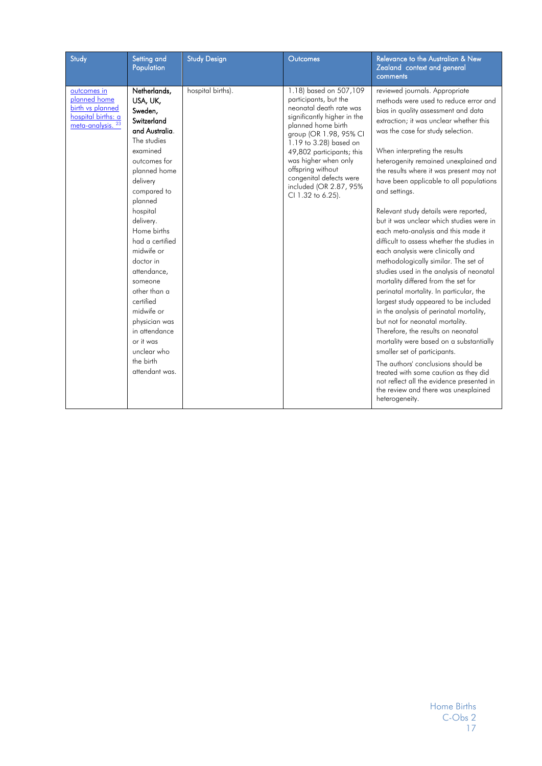<span id="page-16-0"></span>

| Study                                                                                                 | Setting and<br>Population                                                                                                                                                                                                                                                                                                                                                                                                     | <b>Study Design</b> | Outcomes                                                                                                                                                                                                                                                                                                                                | <b>Relevance to the Australian &amp; New</b><br>Zealand context and general<br>comments                                                                                                                                                                                                                                                                                                                                                                                                                                                                                                                                                                                                                                                                                                                                                                                                                                                                                                                                                                                                                                                                                                             |
|-------------------------------------------------------------------------------------------------------|-------------------------------------------------------------------------------------------------------------------------------------------------------------------------------------------------------------------------------------------------------------------------------------------------------------------------------------------------------------------------------------------------------------------------------|---------------------|-----------------------------------------------------------------------------------------------------------------------------------------------------------------------------------------------------------------------------------------------------------------------------------------------------------------------------------------|-----------------------------------------------------------------------------------------------------------------------------------------------------------------------------------------------------------------------------------------------------------------------------------------------------------------------------------------------------------------------------------------------------------------------------------------------------------------------------------------------------------------------------------------------------------------------------------------------------------------------------------------------------------------------------------------------------------------------------------------------------------------------------------------------------------------------------------------------------------------------------------------------------------------------------------------------------------------------------------------------------------------------------------------------------------------------------------------------------------------------------------------------------------------------------------------------------|
| outcomes in<br>planned home<br>birth vs planned<br>hospital births: a<br>meta-analysis. <sup>23</sup> | Netherlands,<br>USA, UK,<br>Sweden,<br>Switzerland<br>and Australia.<br>The studies<br>examined<br>outcomes for<br>planned home<br>delivery<br>compared to<br>planned<br>hospital<br>delivery.<br>Home births<br>had a certified<br>midwife or<br>doctor in<br>attendance,<br>someone<br>other than a<br>certified<br>midwife or<br>physician was<br>in attendance<br>or it was<br>unclear who<br>the birth<br>attendant was. | hospital births).   | 1.18) based on 507,109<br>participants, but the<br>neonatal death rate was<br>significantly higher in the<br>planned home birth<br>group (OR 1.98, 95% CI<br>1.19 to 3.28) based on<br>49,802 participants; this<br>was higher when only<br>offspring without<br>congenital defects were<br>included (OR 2.87, 95%<br>CI 1.32 to 6.25). | reviewed journals. Appropriate<br>methods were used to reduce error and<br>bias in quality assessment and data<br>extraction; it was unclear whether this<br>was the case for study selection.<br>When interpreting the results<br>heterogenity remained unexplained and<br>the results where it was present may not<br>have been applicable to all populations<br>and settings.<br>Relevant study details were reported,<br>but it was unclear which studies were in<br>each meta-analysis and this made it<br>difficult to assess whether the studies in<br>each analysis were clinically and<br>methodologically similar. The set of<br>studies used in the analysis of neonatal<br>mortality differed from the set for<br>perinatal mortality. In particular, the<br>largest study appeared to be included<br>in the analysis of perinatal mortality,<br>but not for neonatal mortality.<br>Therefore, the results on neonatal<br>mortality were based on a substantially<br>smaller set of participants.<br>The authors' conclusions should be<br>treated with some caution as they did<br>not reflect all the evidence presented in<br>the review and there was unexplained<br>heterogeneity. |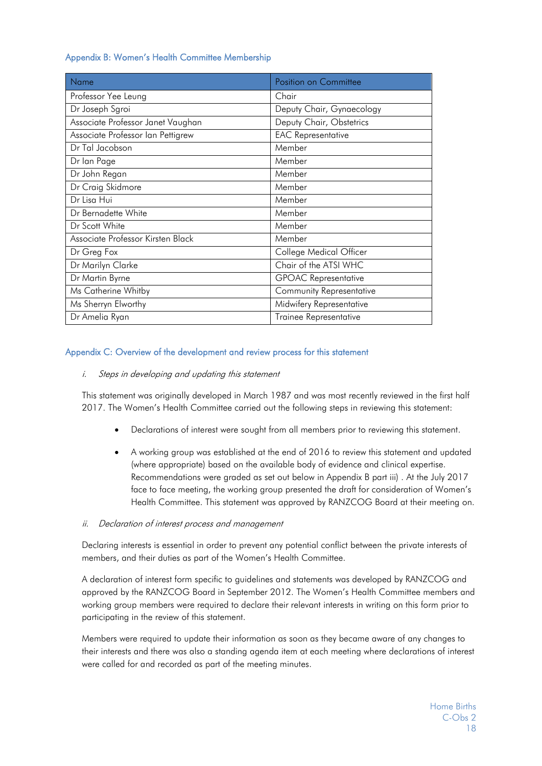### Appendix B: Women's Health Committee Membership

| Name                              | Position on Committee           |  |
|-----------------------------------|---------------------------------|--|
| Professor Yee Leung               | Chair                           |  |
| Dr Joseph Sgroi                   | Deputy Chair, Gynaecology       |  |
| Associate Professor Janet Vaughan | Deputy Chair, Obstetrics        |  |
| Associate Professor Ian Pettigrew | <b>EAC Representative</b>       |  |
| Dr Tal Jacobson                   | Member                          |  |
| Dr Ian Page                       | Member                          |  |
| Dr John Regan                     | Member                          |  |
| Dr Craig Skidmore                 | Member                          |  |
| Dr Lisa Hui                       | Member                          |  |
| Dr Bernadette White               | Member                          |  |
| Dr Scott White                    | Member                          |  |
| Associate Professor Kirsten Black | Member                          |  |
| Dr Greg Fox                       | College Medical Officer         |  |
| Dr Marilyn Clarke                 | Chair of the ATSI WHC           |  |
| Dr Martin Byrne                   | <b>GPOAC Representative</b>     |  |
| Ms Catherine Whitby               | <b>Community Representative</b> |  |
| Ms Sherryn Elworthy               | Midwifery Representative        |  |
| Dr Amelia Ryan                    | Trainee Representative          |  |

#### <span id="page-17-0"></span>Appendix C: Overview of the development and review process for this statement

#### i. Steps in developing and updating this statement

This statement was originally developed in March 1987 and was most recently reviewed in the first half 2017. The Women's Health Committee carried out the following steps in reviewing this statement:

- Declarations of interest were sought from all members prior to reviewing this statement.
- A working group was established at the end of 2016 to review this statement and updated (where appropriate) based on the available body of evidence and clinical expertise. Recommendations were graded as set out below in Appendix B part iii) . At the July 2017 face to face meeting, the working group presented the draft for consideration of Women's Health Committee. This statement was approved by RANZCOG Board at their meeting on.

#### ii. Declaration of interest process and management

Declaring interests is essential in order to prevent any potential conflict between the private interests of members, and their duties as part of the Women's Health Committee.

A declaration of interest form specific to guidelines and statements was developed by RANZCOG and approved by the RANZCOG Board in September 2012. The Women's Health Committee members and working group members were required to declare their relevant interests in writing on this form prior to participating in the review of this statement.

Members were required to update their information as soon as they became aware of any changes to their interests and there was also a standing agenda item at each meeting where declarations of interest were called for and recorded as part of the meeting minutes.